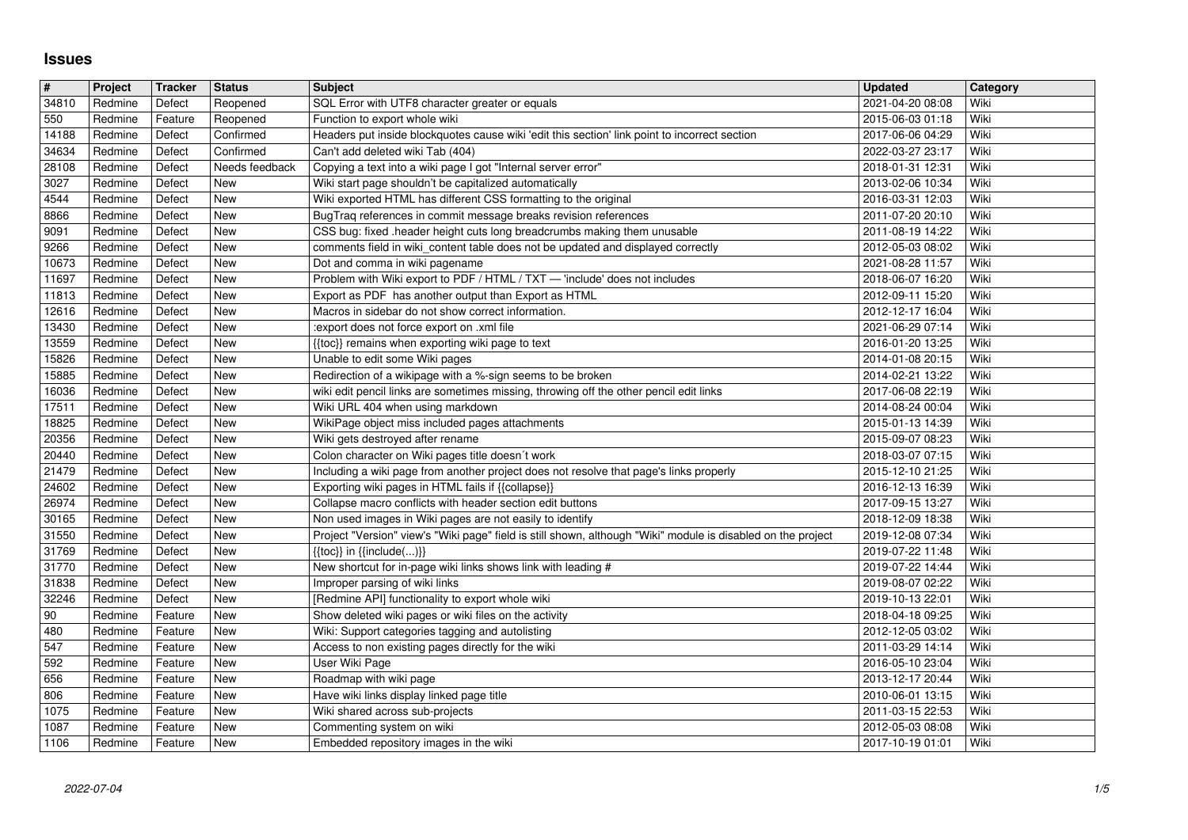## **Issues**

| $\overline{\mathbf{H}}$ | Project            | Tracker            | <b>Status</b>            | <b>Subject</b>                                                                                                                     | <b>Updated</b>                       | Category<br>Wiki |
|-------------------------|--------------------|--------------------|--------------------------|------------------------------------------------------------------------------------------------------------------------------------|--------------------------------------|------------------|
| 34810<br>550            | Redmine<br>Redmine | Defect<br>Feature  | Reopened<br>Reopened     | SQL Error with UTF8 character greater or equals<br>Function to export whole wiki                                                   | 2021-04-20 08:08<br>2015-06-03 01:18 | Wiki             |
| 14188                   | Redmine            | Defect             | Confirmed<br>Confirmed   | Headers put inside blockquotes cause wiki 'edit this section' link point to incorrect section                                      | 2017-06-06 04:29                     | Wiki<br>Wiki     |
| 34634<br>28108          | Redmine<br>Redmine | Defect<br>Defect   | Needs feedback           | Can't add deleted wiki Tab (404)<br>Copying a text into a wiki page I got "Internal server error"                                  | 2022-03-27 23:17<br>2018-01-31 12:31 | Wiki             |
| 3027                    | Redmine            | Defect             | New                      | Wiki start page shouldn't be capitalized automatically                                                                             | 2013-02-06 10:34                     | Wiki             |
| 4544<br>8866            | Redmine<br>Redmine | Defect<br>Defect   | New<br>New               | Wiki exported HTML has different CSS formatting to the original<br>BugTraq references in commit message breaks revision references | 2016-03-31 12:03<br>2011-07-20 20:10 | Wiki<br>Wiki     |
| 9091                    | Redmine            | Defect             | New                      | CSS bug: fixed .header height cuts long breadcrumbs making them unusable                                                           | 2011-08-19 14:22                     | Wiki             |
| 9266<br>10673           | Redmine<br>Redmine | Defect<br>Defect   | <b>New</b><br><b>New</b> | comments field in wiki_content table does not be updated and displayed correctly<br>Dot and comma in wiki pagename                 | 2012-05-03 08:02<br>2021-08-28 11:57 | Wiki<br>Wiki     |
| 11697                   | Redmine            | Defect             | <b>New</b>               | Problem with Wiki export to PDF / HTML / TXT - 'include' does not includes                                                         | 2018-06-07 16:20                     | Wiki             |
| 11813<br>12616          | Redmine<br>Redmine | Defect<br>Defect   | New<br>New               | Export as PDF has another output than Export as HTML<br>Macros in sidebar do not show correct information.                         | 2012-09-11 15:20<br>2012-12-17 16:04 | Wiki<br>Wiki     |
| 13430                   | Redmine            | Defect             | New                      | :export does not force export on .xml file                                                                                         | 2021-06-29 07:14                     | Wiki             |
| 13559<br>15826          | Redmine<br>Redmine | Defect<br>Defect   | New<br>New               | {{toc}} remains when exporting wiki page to text<br>Unable to edit some Wiki pages                                                 | 2016-01-20 13:25<br>2014-01-08 20:15 | Wiki<br>Wiki     |
| 15885                   | Redmine            | Defect             | New                      | Redirection of a wikipage with a %-sign seems to be broken                                                                         | 2014-02-21 13:22                     | Wiki             |
| 16036<br>17511          | Redmine<br>Redmine | Defect<br>Defect   | <b>New</b><br>New        | wiki edit pencil links are sometimes missing, throwing off the other pencil edit links<br>Wiki URL 404 when using markdown         | 2017-06-08 22:19<br>2014-08-24 00:04 | Wiki<br>Wiki     |
| 18825                   | Redmine            | Defect             | New                      | WikiPage object miss included pages attachments                                                                                    | 2015-01-13 14:39                     | Wiki             |
| 20356                   | Redmine            | Defect             | New<br>New               | Wiki gets destroyed after rename<br>Colon character on Wiki pages title doesn't work                                               | 2015-09-07 08:23                     | Wiki             |
| 20440<br>21479          | Redmine<br>Redmine | Defect<br>Defect   | New                      | Including a wiki page from another project does not resolve that page's links properly                                             | 2018-03-07 07:15<br>2015-12-10 21:25 | Wiki<br>Wiki     |
| 24602                   | Redmine            | Defect             | New                      | Exporting wiki pages in HTML fails if {{collapse}}                                                                                 | 2016-12-13 16:39                     | Wiki             |
| 26974<br>30165          | Redmine<br>Redmine | Defect<br>Defect   | New<br>New               | Collapse macro conflicts with header section edit buttons<br>Non used images in Wiki pages are not easily to identify              | 2017-09-15 13:27<br>2018-12-09 18:38 | Wiki<br>Wiki     |
| 31550                   | Redmine            | Defect             | New                      | Project "Version" view's "Wiki page" field is still shown, although "Wiki" module is disabled on the project                       | 2019-12-08 07:34                     | Wiki             |
| 31769<br>31770          | Redmine<br>Redmine | Defect<br>Defect   | New<br>New               | $\{ \{ \text{toc} \} \}$ in $\{ \{ \text{include} ()\} \}$<br>New shortcut for in-page wiki links shows link with leading #        | 2019-07-22 11:48<br>2019-07-22 14:44 | Wiki<br>Wiki     |
| 31838                   | Redmine            | Defect             | New                      | Improper parsing of wiki links                                                                                                     | 2019-08-07 02:22                     | Wiki             |
| 32246<br>90             | Redmine<br>Redmine | Defect<br>Feature  | New<br>New               | [Redmine API] functionality to export whole wiki<br>Show deleted wiki pages or wiki files on the activity                          | 2019-10-13 22:01<br>2018-04-18 09:25 | Wiki<br>Wiki     |
| 480                     | Redmine            | Feature            | New                      | Wiki: Support categories tagging and autolisting                                                                                   | 2012-12-05 03:02                     | Wiki             |
| 547<br>592              | Redmine<br>Redmine | Feature<br>Feature | New<br>New               | Access to non existing pages directly for the wiki<br>User Wiki Page                                                               | 2011-03-29 14:14                     | Wiki<br>Wiki     |
| 656                     | Redmine            | Feature            | New                      | Roadmap with wiki page                                                                                                             | 2016-05-10 23:04<br>2013-12-17 20:44 | Wiki             |
| 806                     | Redmine            | Feature            | New                      | Have wiki links display linked page title                                                                                          | 2010-06-01 13:15                     | Wiki<br>Wiki     |
| 1075<br>1087            | Redmine<br>Redmine | Feature<br>Feature | New<br>New               | Wiki shared across sub-projects<br>Commenting system on wiki                                                                       | 2011-03-15 22:53<br>2012-05-03 08:08 | Wiki             |
| 1106                    | Redmine            | Feature            | New                      | Embedded repository images in the wiki                                                                                             | 2017-10-19 01:01                     | Wiki             |
|                         |                    |                    |                          |                                                                                                                                    |                                      |                  |
|                         |                    |                    |                          |                                                                                                                                    |                                      |                  |
|                         |                    |                    |                          |                                                                                                                                    |                                      |                  |
|                         |                    |                    |                          |                                                                                                                                    |                                      |                  |
|                         |                    |                    |                          |                                                                                                                                    |                                      |                  |
|                         |                    |                    |                          |                                                                                                                                    |                                      |                  |
|                         |                    |                    |                          |                                                                                                                                    |                                      |                  |
|                         |                    |                    |                          |                                                                                                                                    |                                      |                  |
|                         |                    |                    |                          |                                                                                                                                    |                                      |                  |
|                         |                    |                    |                          |                                                                                                                                    |                                      |                  |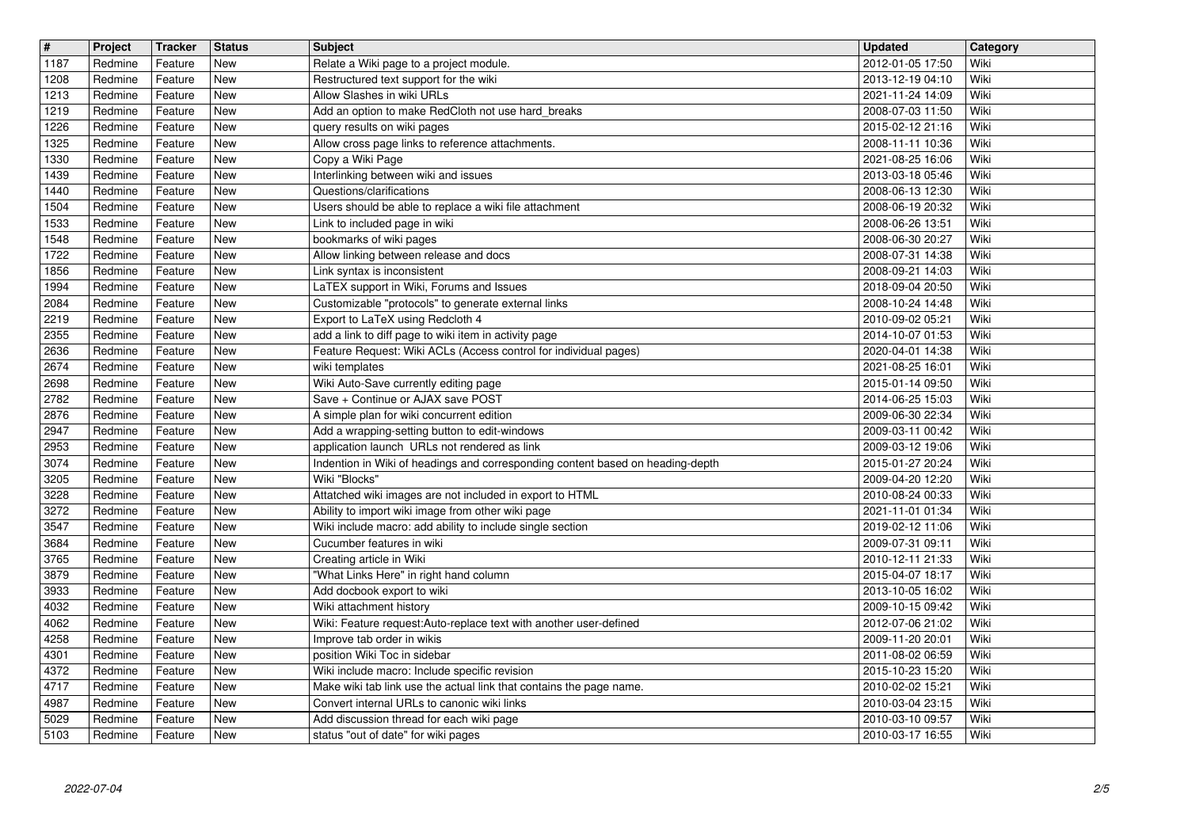| $\overline{\mathbf{t}}$ | Project            | <b>Tracker</b>     | <b>Status</b><br><b>New</b> | <b>Subject</b>                                                                                                                 | <b>Updated</b>                       | Category<br>Wiki |
|-------------------------|--------------------|--------------------|-----------------------------|--------------------------------------------------------------------------------------------------------------------------------|--------------------------------------|------------------|
| 1187<br>1208            | Redmine<br>Redmine | Feature<br>Feature | New                         | Relate a Wiki page to a project module.<br>Restructured text support for the wiki                                              | 2012-01-05 17:50<br>2013-12-19 04:10 | Wiki             |
| 1213<br>1219            | Redmine<br>Redmine | Feature<br>Feature | New<br>New                  | Allow Slashes in wiki URLs<br>Add an option to make RedCloth not use hard_breaks                                               | 2021-11-24 14:09<br>2008-07-03 11:50 | Wiki<br>Wiki     |
| 1226                    | Redmine            | Feature            | New                         | query results on wiki pages                                                                                                    | 2015-02-12 21:16                     | Wiki             |
| 1325<br>1330            | Redmine<br>Redmine | Feature<br>Feature | New<br>New                  | Allow cross page links to reference attachments.<br>Copy a Wiki Page                                                           | 2008-11-11 10:36<br>2021-08-25 16:06 | Wiki<br>Wiki     |
| 1439                    | Redmine            | Feature            | New                         | Interlinking between wiki and issues                                                                                           | 2013-03-18 05:46                     | Wiki             |
| 1440<br>1504            | Redmine<br>Redmine | Feature<br>Feature | <b>New</b><br>New           | Questions/clarifications<br>Users should be able to replace a wiki file attachment                                             | 2008-06-13 12:30<br>2008-06-19 20:32 | Wiki<br>Wiki     |
| 1533                    | Redmine            | Feature            | New                         | Link to included page in wiki                                                                                                  | 2008-06-26 13:51                     | Wiki             |
| 1548<br>1722            | Redmine<br>Redmine | Feature<br>Feature | New<br>New                  | bookmarks of wiki pages<br>Allow linking between release and docs                                                              | 2008-06-30 20:27<br>2008-07-31 14:38 | Wiki<br>Wiki     |
| 1856<br>1994            | Redmine<br>Redmine | Feature<br>Feature | New<br>New                  | Link syntax is inconsistent<br>LaTEX support in Wiki, Forums and Issues                                                        | 2008-09-21 14:03<br>2018-09-04 20:50 | Wiki<br>Wiki     |
| 2084                    | Redmine            | Feature            | New                         | Customizable "protocols" to generate external links                                                                            | 2008-10-24 14:48                     | Wiki             |
| 2219<br>2355            | Redmine<br>Redmine | Feature<br>Feature | New<br>New                  | Export to LaTeX using Redcloth 4<br>add a link to diff page to wiki item in activity page                                      | 2010-09-02 05:21<br>2014-10-07 01:53 | Wiki<br>Wiki     |
| 2636                    | Redmine            | Feature            | <b>New</b>                  | Feature Request: Wiki ACLs (Access control for individual pages)                                                               | 2020-04-01 14:38                     | Wiki             |
| 2674<br>2698            | Redmine<br>Redmine | Feature<br>Feature | New<br>New                  | wiki templates<br>Wiki Auto-Save currently editing page                                                                        | 2021-08-25 16:01<br>2015-01-14 09:50 | Wiki<br>Wiki     |
| 2782<br>2876            | Redmine            | Feature            | New<br>New                  | Save + Continue or AJAX save POST                                                                                              | 2014-06-25 15:03                     | Wiki<br>Wiki     |
| 2947                    | Redmine<br>Redmine | Feature<br>Feature | New                         | A simple plan for wiki concurrent edition<br>Add a wrapping-setting button to edit-windows                                     | 2009-06-30 22:34<br>2009-03-11 00:42 | Wiki             |
| 2953<br>3074            | Redmine<br>Redmine | Feature<br>Feature | New<br>New                  | application launch URLs not rendered as link<br>Indention in Wiki of headings and corresponding content based on heading-depth | 2009-03-12 19:06<br>2015-01-27 20:24 | Wiki<br>Wiki     |
| 3205                    | Redmine            | Feature            | New                         | Wiki "Blocks"                                                                                                                  | 2009-04-20 12:20                     | Wiki             |
| 3228<br>3272            | Redmine<br>Redmine | Feature<br>Feature | <b>New</b><br><b>New</b>    | Attatched wiki images are not included in export to HTML<br>Ability to import wiki image from other wiki page                  | 2010-08-24 00:33<br>2021-11-01 01:34 | Wiki<br>Wiki     |
| 3547                    | Redmine            | Feature            | <b>New</b>                  | Wiki include macro: add ability to include single section                                                                      | 2019-02-12 11:06                     | Wiki             |
| 3684<br>3765            | Redmine<br>Redmine | Feature<br>Feature | New<br>New                  | Cucumber features in wiki<br>Creating article in Wiki                                                                          | 2009-07-31 09:11<br>2010-12-11 21:33 | Wiki<br>Wiki     |
| 3879                    | Redmine            | Feature            | New                         | "What Links Here" in right hand column                                                                                         | 2015-04-07 18:17                     | Wiki             |
| 3933<br>4032            | Redmine<br>Redmine | Feature<br>Feature | New<br>New                  | Add docbook export to wiki<br>Wiki attachment history                                                                          | 2013-10-05 16:02<br>2009-10-15 09:42 | Wiki<br>Wiki     |
| 4062<br>4258            | Redmine<br>Redmine | Feature<br>Feature | New<br><b>New</b>           | Wiki: Feature request:Auto-replace text with another user-defined<br>Improve tab order in wikis                                | 2012-07-06 21:02<br>2009-11-20 20:01 | Wiki<br>Wiki     |
| 4301                    | Redmine            | Feature            | New                         | position Wiki Toc in sidebar                                                                                                   | 2011-08-02 06:59                     | Wiki             |
| 4372<br>4717            | Redmine<br>Redmine | Feature<br>Feature | New<br>New                  | Wiki include macro: Include specific revision<br>Make wiki tab link use the actual link that contains the page name.           | 2015-10-23 15:20<br>2010-02-02 15:21 | Wiki<br>Wiki     |
| 4987                    | Redmine            | Feature            | New                         | Convert internal URLs to canonic wiki links                                                                                    | 2010-03-04 23:15                     | Wiki             |
| 5029<br>5103            | Redmine<br>Redmine | Feature<br>Feature | New<br>New                  | Add discussion thread for each wiki page<br>status "out of date" for wiki pages                                                | 2010-03-10 09:57<br>2010-03-17 16:55 | Wiki<br>Wiki     |
|                         |                    |                    |                             |                                                                                                                                |                                      |                  |
|                         |                    |                    |                             |                                                                                                                                |                                      |                  |
|                         |                    |                    |                             |                                                                                                                                |                                      |                  |
|                         |                    |                    |                             |                                                                                                                                |                                      |                  |
|                         |                    |                    |                             |                                                                                                                                |                                      |                  |
|                         |                    |                    |                             |                                                                                                                                |                                      |                  |
|                         |                    |                    |                             |                                                                                                                                |                                      |                  |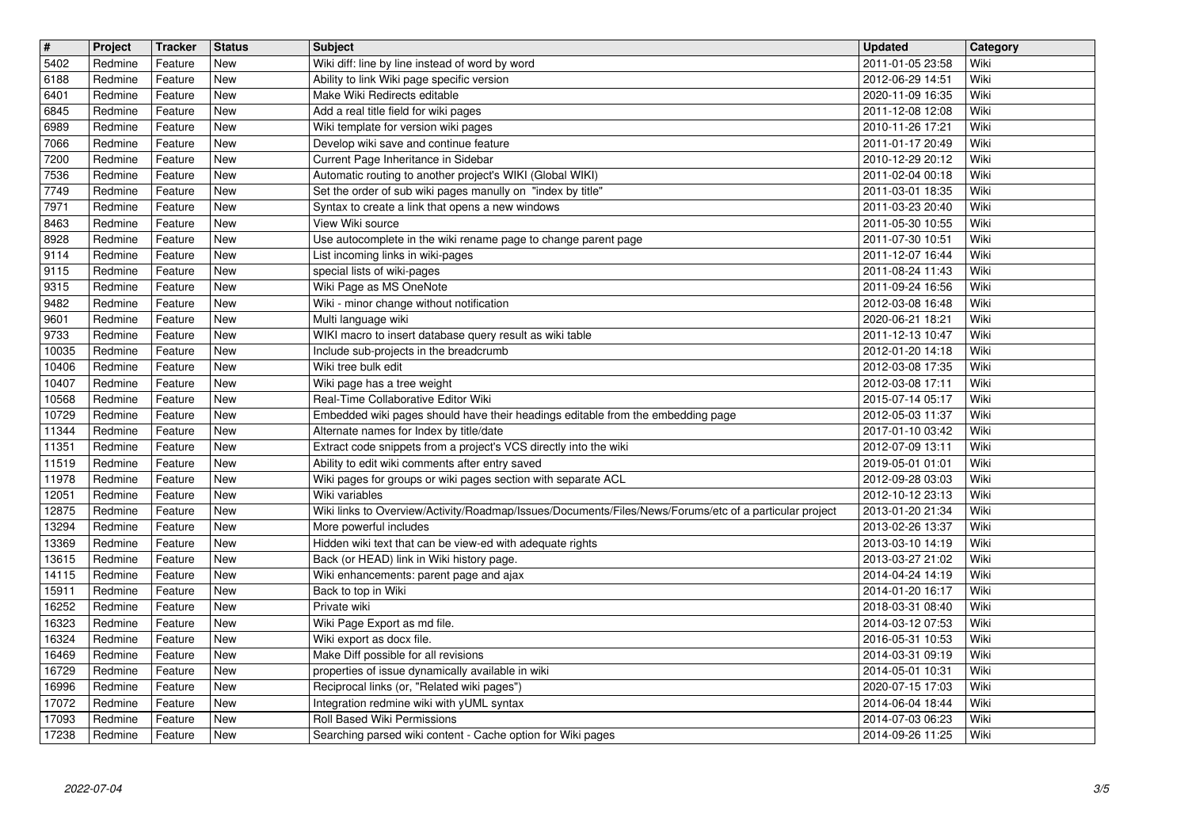| $\overline{\mathbf{H}}$<br>5402 | Project<br>Redmine | Tracker<br>Feature | <b>Status</b><br><b>New</b> | <b>Subject</b><br>Wiki diff: line by line instead of word by word                                                          | <b>Updated</b><br>2011-01-05 23:58   | Category<br>Wiki |
|---------------------------------|--------------------|--------------------|-----------------------------|----------------------------------------------------------------------------------------------------------------------------|--------------------------------------|------------------|
| 6188                            | Redmine            | Feature            | New                         | Ability to link Wiki page specific version                                                                                 | 2012-06-29 14:51                     | Wiki             |
| 6401<br>6845                    | Redmine<br>Redmine | Feature<br>Feature | New<br>New                  | Make Wiki Redirects editable<br>Add a real title field for wiki pages                                                      | 2020-11-09 16:35<br>2011-12-08 12:08 | Wiki<br>Wiki     |
| 6989                            | Redmine            | Feature            | New                         | Wiki template for version wiki pages                                                                                       | 2010-11-26 17:21                     | Wiki             |
| 7066<br>7200                    | Redmine<br>Redmine | Feature<br>Feature | New<br>New                  | Develop wiki save and continue feature<br>Current Page Inheritance in Sidebar                                              | 2011-01-17 20:49<br>2010-12-29 20:12 | Wiki<br>Wiki     |
| 7536                            | Redmine            | Feature            | New                         | Automatic routing to another project's WIKI (Global WIKI)                                                                  | 2011-02-04 00:18                     | Wiki             |
| 7749<br>7971                    | Redmine<br>Redmine | Feature<br>Feature | New<br>New                  | Set the order of sub wiki pages manully on "index by title"<br>Syntax to create a link that opens a new windows            | 2011-03-01 18:35<br>2011-03-23 20:40 | Wiki<br>Wiki     |
| 8463                            | Redmine            | Feature            | <b>New</b>                  | View Wiki source                                                                                                           | 2011-05-30 10:55                     | Wiki             |
| 8928<br>9114                    | Redmine<br>Redmine | Feature<br>Feature | <b>New</b><br>New           | Use autocomplete in the wiki rename page to change parent page<br>List incoming links in wiki-pages                        | 2011-07-30 10:51<br>2011-12-07 16:44 | Wiki<br>Wiki     |
| 9115<br>9315                    | Redmine<br>Redmine | Feature<br>Feature | New<br>New                  | special lists of wiki-pages<br>Wiki Page as MS OneNote                                                                     | 2011-08-24 11:43<br>2011-09-24 16:56 | Wiki<br>Wiki     |
| 9482                            | Redmine            | Feature            | New                         | Wiki - minor change without notification                                                                                   | 2012-03-08 16:48                     | Wiki             |
| 9601<br>9733                    | Redmine<br>Redmine | Feature<br>Feature | New<br>New                  | Multi language wiki<br>WIKI macro to insert database query result as wiki table                                            | 2020-06-21 18:21<br>2011-12-13 10:47 | Wiki<br>Wiki     |
| 10035                           | Redmine            | Feature            | New                         | Include sub-projects in the breadcrumb                                                                                     | 2012-01-20 14:18                     | Wiki             |
| 10406<br>10407                  | Redmine<br>Redmine | Feature<br>Feature | <b>New</b><br><b>New</b>    | Wiki tree bulk edit<br>Wiki page has a tree weight                                                                         | 2012-03-08 17:35<br>2012-03-08 17:11 | Wiki<br>Wiki     |
| 10568<br>10729                  | Redmine            | Feature            | New<br>New                  | Real-Time Collaborative Editor Wiki                                                                                        | 2015-07-14 05:17                     | Wiki<br>Wiki     |
| 11344                           | Redmine<br>Redmine | Feature<br>Feature | New                         | Embedded wiki pages should have their headings editable from the embedding page<br>Alternate names for Index by title/date | 2012-05-03 11:37<br>2017-01-10 03:42 | Wiki             |
| 11351<br>11519                  | Redmine<br>Redmine | Feature<br>Feature | New<br>New                  | Extract code snippets from a project's VCS directly into the wiki<br>Ability to edit wiki comments after entry saved       | 2012-07-09 13:11<br>2019-05-01 01:01 | Wiki<br>Wiki     |
| 11978                           | Redmine            | Feature            | New                         | Wiki pages for groups or wiki pages section with separate ACL                                                              | 2012-09-28 03:03                     | Wiki             |
| 12051<br>12875                  | Redmine<br>Redmine | Feature<br>Feature | New<br>New                  | Wiki variables<br>Wiki links to Overview/Activity/Roadmap/Issues/Documents/Files/News/Forums/etc of a particular project   | 2012-10-12 23:13<br>2013-01-20 21:34 | Wiki<br>Wiki     |
| 13294                           | Redmine            | Feature            | <b>New</b>                  | More powerful includes                                                                                                     | 2013-02-26 13:37                     | Wiki             |
| 13369<br>13615                  | Redmine<br>Redmine | Feature<br>Feature | New<br>New                  | Hidden wiki text that can be view-ed with adequate rights<br>Back (or HEAD) link in Wiki history page.                     | 2013-03-10 14:19<br>2013-03-27 21:02 | Wiki<br>Wiki     |
| 14115                           | Redmine            | Feature            | New                         | Wiki enhancements: parent page and ajax                                                                                    | 2014-04-24 14:19                     | Wiki             |
| 15911<br>16252                  | Redmine<br>Redmine | Feature<br>Feature | New<br>New                  | Back to top in Wiki<br>Private wiki                                                                                        | 2014-01-20 16:17<br>2018-03-31 08:40 | Wiki<br>Wiki     |
| 16323<br>16324                  | Redmine<br>Redmine | Feature<br>Feature | New<br>New                  | Wiki Page Export as md file.<br>Wiki export as docx file.                                                                  | 2014-03-12 07:53<br>2016-05-31 10:53 | Wiki<br>Wiki     |
| 16469                           | Redmine            | Feature            | New                         | Make Diff possible for all revisions                                                                                       | 2014-03-31 09:19                     | Wiki             |
| 16729<br>16996                  | Redmine<br>Redmine | Feature<br>Feature | New<br>New                  | properties of issue dynamically available in wiki<br>Reciprocal links (or, "Related wiki pages")                           | 2014-05-01 10:31<br>2020-07-15 17:03 | Wiki<br>Wiki     |
| 17072                           | Redmine            | Feature            | New                         | Integration redmine wiki with yUML syntax                                                                                  | 2014-06-04 18:44                     | Wiki             |
| 17093<br>17238                  | Redmine<br>Redmine | Feature<br>Feature | New<br>New                  | Roll Based Wiki Permissions<br>Searching parsed wiki content - Cache option for Wiki pages                                 | 2014-07-03 06:23<br>2014-09-26 11:25 | Wiki<br>Wiki     |
|                                 |                    |                    |                             |                                                                                                                            |                                      |                  |
|                                 |                    |                    |                             |                                                                                                                            |                                      |                  |
|                                 |                    |                    |                             |                                                                                                                            |                                      |                  |
|                                 |                    |                    |                             |                                                                                                                            |                                      |                  |
|                                 |                    |                    |                             |                                                                                                                            |                                      |                  |
|                                 |                    |                    |                             |                                                                                                                            |                                      |                  |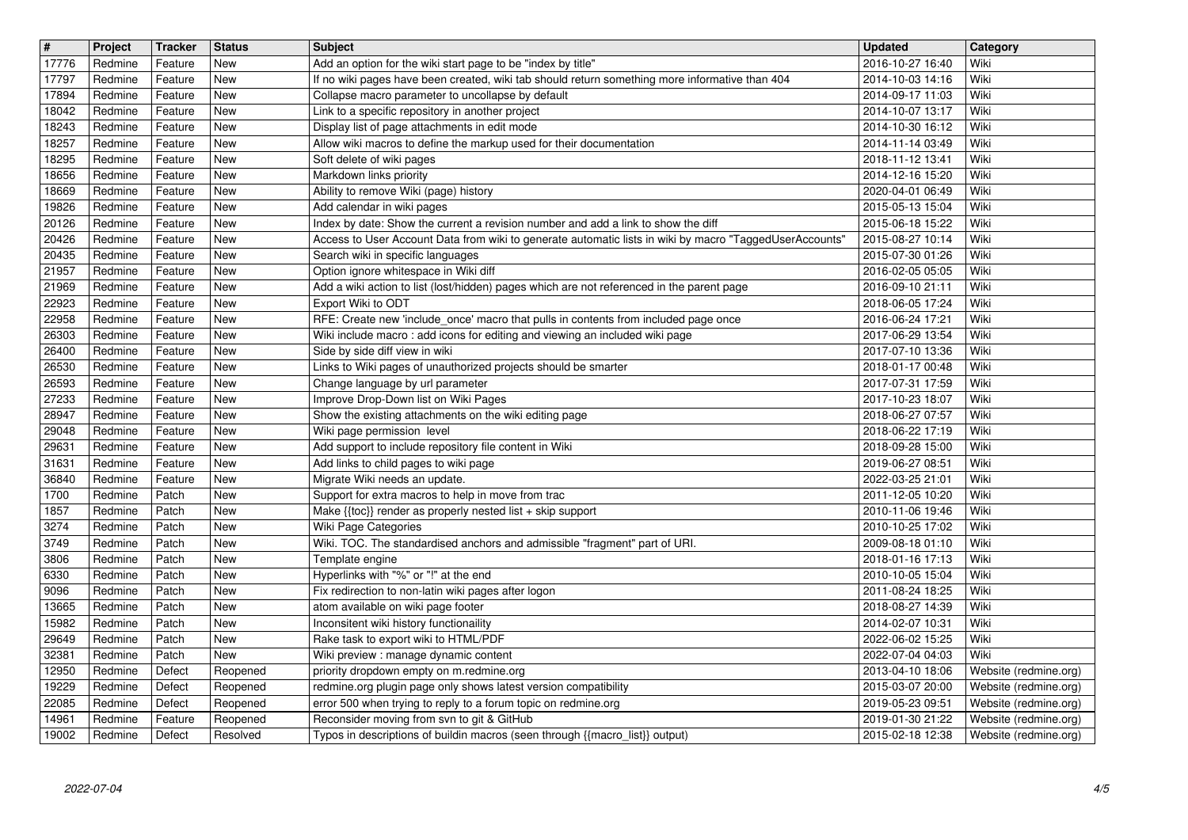| $\overline{\mathbf{H}}$<br>17776 | Project<br>Redmine | Tracker<br>Feature | <b>Status</b><br>New     | <b>Subject</b><br>Add an option for the wiki start page to be "index by title"                                                                                     | <b>Updated</b><br>2016-10-27 16:40   | Category<br>Wiki                               |
|----------------------------------|--------------------|--------------------|--------------------------|--------------------------------------------------------------------------------------------------------------------------------------------------------------------|--------------------------------------|------------------------------------------------|
| 17797                            | Redmine            | Feature            | New                      | If no wiki pages have been created, wiki tab should return something more informative than 404                                                                     | 2014-10-03 14:16                     | Wiki                                           |
| 17894<br>18042                   | Redmine<br>Redmine | Feature<br>Feature | New<br>New               | Collapse macro parameter to uncollapse by default<br>Link to a specific repository in another project                                                              | 2014-09-17 11:03<br>2014-10-07 13:17 | Wiki<br>Wiki                                   |
| 18243                            | Redmine            | Feature            | New                      | Display list of page attachments in edit mode                                                                                                                      | 2014-10-30 16:12                     | Wiki                                           |
| 18257<br>18295                   | Redmine<br>Redmine | Feature<br>Feature | New<br>New               | Allow wiki macros to define the markup used for their documentation<br>Soft delete of wiki pages                                                                   | 2014-11-14 03:49<br>2018-11-12 13:41 | Wiki<br>Wiki                                   |
| 18656                            | Redmine            | Feature            | New                      | Markdown links priority                                                                                                                                            | 2014-12-16 15:20                     | Wiki                                           |
| 18669<br>19826                   | Redmine<br>Redmine | Feature<br>Feature | New<br>New               | Ability to remove Wiki (page) history<br>Add calendar in wiki pages                                                                                                | 2020-04-01 06:49<br>2015-05-13 15:04 | Wiki<br>Wiki                                   |
| 20126                            | Redmine            | Feature            | New                      | Index by date: Show the current a revision number and add a link to show the diff                                                                                  | 2015-06-18 15:22                     | Wiki                                           |
| 20426<br>20435                   | Redmine<br>Redmine | Feature<br>Feature | New<br>New               | Access to User Account Data from wiki to generate automatic lists in wiki by macro "TaggedUserAccounts'<br>Search wiki in specific languages                       | 2015-08-27 10:14<br>2015-07-30 01:26 | Wiki<br>Wiki                                   |
| 21957                            | Redmine            | Feature            | New                      | Option ignore whitespace in Wiki diff                                                                                                                              | 2016-02-05 05:05                     | Wiki                                           |
| 21969<br>22923                   | Redmine<br>Redmine | Feature<br>Feature | New<br>New               | Add a wiki action to list (lost/hidden) pages which are not referenced in the parent page<br>Export Wiki to ODT                                                    | 2016-09-10 21:11<br>2018-06-05 17:24 | Wiki<br>Wiki                                   |
| 22958<br>26303                   | Redmine<br>Redmine | Feature<br>Feature | New<br>New               | RFE: Create new 'include_once' macro that pulls in contents from included page once<br>Wiki include macro: add icons for editing and viewing an included wiki page | 2016-06-24 17:21<br>2017-06-29 13:54 | Wiki<br>Wiki                                   |
| 26400                            | Redmine            | Feature            | New                      | Side by side diff view in wiki                                                                                                                                     | 2017-07-10 13:36                     | Wiki                                           |
| 26530<br>26593                   | Redmine<br>Redmine | Feature<br>Feature | New<br>New               | Links to Wiki pages of unauthorized projects should be smarter<br>Change language by url parameter                                                                 | 2018-01-17 00:48<br>2017-07-31 17:59 | Wiki<br>Wiki                                   |
| 27233                            | Redmine            | Feature            | New                      | Improve Drop-Down list on Wiki Pages                                                                                                                               | 2017-10-23 18:07                     | Wiki                                           |
| 28947<br>29048                   | Redmine<br>Redmine | Feature<br>Feature | New<br>New               | Show the existing attachments on the wiki editing page<br>Wiki page permission level                                                                               | 2018-06-27 07:57<br>2018-06-22 17:19 | Wiki<br>Wiki                                   |
| 29631                            | Redmine            | Feature            | New                      | Add support to include repository file content in Wiki                                                                                                             | 2018-09-28 15:00                     | Wiki                                           |
| 31631<br>36840                   | Redmine<br>Redmine | Feature<br>Feature | New<br><b>New</b>        | Add links to child pages to wiki page<br>Migrate Wiki needs an update.                                                                                             | 2019-06-27 08:51<br>2022-03-25 21:01 | Wiki<br>Wiki                                   |
| 1700                             | Redmine            | Patch              | <b>New</b>               | Support for extra macros to help in move from trac                                                                                                                 | 2011-12-05 10:20                     | Wiki                                           |
| 1857<br>3274                     | Redmine<br>Redmine | Patch<br>Patch     | <b>New</b><br><b>New</b> | Make {{toc}} render as properly nested list + skip support<br>Wiki Page Categories                                                                                 | 2010-11-06 19:46<br>2010-10-25 17:02 | Wiki<br>Wiki                                   |
| 3749                             | Redmine            | Patch              | <b>New</b>               | Wiki. TOC. The standardised anchors and admissible "fragment" part of URI.                                                                                         | 2009-08-18 01:10                     | Wiki                                           |
| 3806<br>6330                     | Redmine<br>Redmine | Patch<br>Patch     | New<br>New               | Template engine<br>Hyperlinks with "%" or "!" at the end                                                                                                           | 2018-01-16 17:13<br>2010-10-05 15:04 | Wiki<br>Wiki                                   |
| 9096                             | Redmine            | Patch              | New                      | Fix redirection to non-latin wiki pages after logon                                                                                                                | 2011-08-24 18:25                     | Wiki                                           |
| 13665<br>15982                   | Redmine<br>Redmine | Patch<br>Patch     | New<br><b>New</b>        | atom available on wiki page footer<br>Inconsitent wiki history functionaility                                                                                      | 2018-08-27 14:39<br>2014-02-07 10:31 | Wiki<br>Wiki                                   |
| 29649                            | Redmine            | Patch              | New                      | Rake task to export wiki to HTML/PDF                                                                                                                               | 2022-06-02 15:25                     | Wiki                                           |
| 32381<br>12950                   | Redmine<br>Redmine | Patch<br>Defect    | New<br>Reopened          | Wiki preview : manage dynamic content<br>priority dropdown empty on m.redmine.org                                                                                  | 2022-07-04 04:03<br>2013-04-10 18:06 | Wiki<br>Website (redmine.org)                  |
| 19229                            | Redmine            | Defect             | Reopened                 | redmine.org plugin page only shows latest version compatibility                                                                                                    | 2015-03-07 20:00                     | Website (redmine.org)                          |
| 22085<br>14961                   | Redmine<br>Redmine | Defect<br>Feature  | Reopened<br>Reopened     | error 500 when trying to reply to a forum topic on redmine.org<br>Reconsider moving from svn to git & GitHub                                                       | 2019-05-23 09:51<br>2019-01-30 21:22 | Website (redmine.org)<br>Website (redmine.org) |
| 19002                            | Redmine            | Defect             | Resolved                 | Typos in descriptions of buildin macros (seen through {{macro_list}} output)                                                                                       | 2015-02-18 12:38                     | Website (redmine.org)                          |
|                                  |                    |                    |                          |                                                                                                                                                                    |                                      |                                                |
|                                  |                    |                    |                          |                                                                                                                                                                    |                                      |                                                |
|                                  |                    |                    |                          |                                                                                                                                                                    |                                      |                                                |
|                                  |                    |                    |                          |                                                                                                                                                                    |                                      |                                                |
|                                  |                    |                    |                          |                                                                                                                                                                    |                                      |                                                |
|                                  |                    |                    |                          |                                                                                                                                                                    |                                      |                                                |
|                                  |                    |                    |                          |                                                                                                                                                                    |                                      |                                                |
|                                  |                    |                    |                          |                                                                                                                                                                    |                                      |                                                |
|                                  |                    |                    |                          |                                                                                                                                                                    |                                      |                                                |
|                                  |                    |                    |                          |                                                                                                                                                                    |                                      |                                                |
|                                  |                    |                    |                          |                                                                                                                                                                    |                                      |                                                |